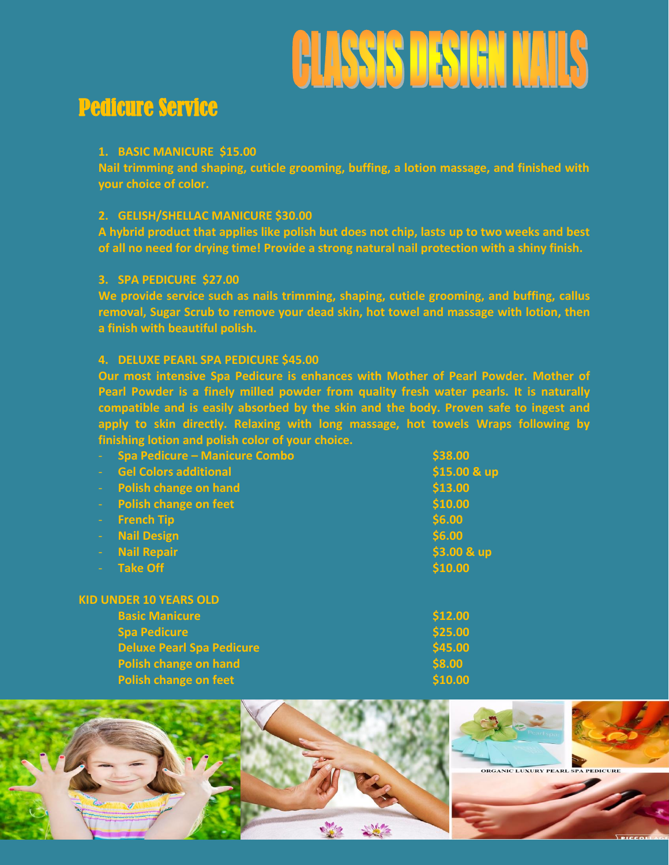

# Pedicure Service

#### **1. BASIC MANICURE \$15.00**

**Nail trimming and shaping, cuticle grooming, buffing, a lotion massage, and finished with your choice of color.**

# **2. GELISH/SHELLAC MANICURE \$30.00**

**A hybrid product that applies like polish but does not chip, lasts up to two weeks and best of all no need for drying time! Provide a strong natural nail protection with a shiny finish.**

#### **3. SPA PEDICURE \$27.00**

**We provide service such as nails trimming, shaping, cuticle grooming, and buffing, callus removal, Sugar Scrub to remove your dead skin, hot towel and massage with lotion, then a finish with beautiful polish.**

# **4. DELUXE PEARL SPA PEDICURE \$45.00**

**Our most intensive Spa Pedicure is enhances with Mother of Pearl Powder. Mother of Pearl Powder is a finely milled powder from quality fresh water pearls. It is naturally compatible and is easily absorbed by the skin and the body. Proven safe to ingest and apply to skin directly. Relaxing with long massage, hot towels Wraps following by finishing lotion and polish color of your choice.**

|               | <b>Spa Pedicure - Manicure Combo</b> | \$38.00      |
|---------------|--------------------------------------|--------------|
| $\Delta \phi$ | <b>Gel Colors additional</b>         | \$15.00 & up |
| $\sim$        | Polish change on hand                | \$13.00      |
| $\Delta \phi$ | <b>Polish change on feet</b>         | \$10.00      |
| ъ.            | <b>French Tip</b>                    | \$6.00       |
|               | <b>Nail Design</b>                   | \$6.00       |
|               | <b>Nail Repair</b>                   | \$3.00 & up  |
|               | <b>Take Off</b>                      | \$10.00      |
|               |                                      |              |
|               |                                      |              |

#### **KID UNDER 10 YEARS OLD**

| <b>Basic Manicure</b>            | \$12.00 |
|----------------------------------|---------|
| <b>Spa Pedicure</b>              | \$25.00 |
| <b>Deluxe Pearl Spa Pedicure</b> | \$45.00 |
| Polish change on hand            | \$8.00  |
| <b>Polish change on feet</b>     | \$10.00 |